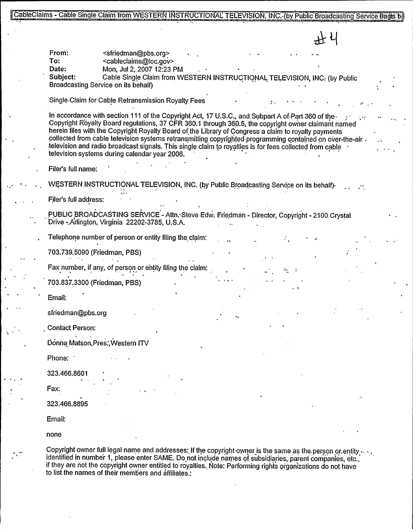CableClaims - Cable Single Claim from WESTERN INSTRUCTIONAL TELEVISION, INC. (by Public Broadcasting Service Bagts be

To:<br>Date: <sfriedman@pbs.org> <cableclaims@loc.gov><br>Mon, Jul 2, 2007 12:23 PM Solen Single Claim from WESTERN INSTRUCTIONAL TELEVISION. INC. (by Public Broadcasting Service Bade<br>
To:<br>
To:<br>
To:<br>
Cable Single Claim form WESTERN INSTRUCTIONAL TELEVISION, INC. (by Public<br>
Date:<br>
Cable Single Claim form Subject: Cable Single Claim from WESTERN INSTRUCTIONAL TELEVISION, INC: (by Public Broadcasting Service on its behalf) Single Claim for Cable Retransmission Royalty Fees In accordance with section 111 of the Copyright Act, 17 U.S.C., and Subpart A of Part 360 of the Copyright Royalty Board regulations, 37 CFR 360.1 through 360.5, the copyright owner claimant named herein files with the Copyright Royalty Board of the Library of Congress a claim to royalty payments collected from cable television systems retransmitting copyrighted programming contained on over-the-air. television and radio broadcast signals. This single claim to royalties is for fees collected from cable television systems during calendar year 2006. Filer's full name: WESTERN INSTRUCTIONAL TELEVISION, INC. (by Public Broadcasting Service on its behalf) Filer's full address: PUBLIC BROADCASTING SERVICE - Attn. Steve Edw. Friedman - Director, Copyright - 2100 Crystal Drive - Arlington, Virginia 22202-3785, U.S.A. Telephone number of person or entity filing the claim: 703.739.5090 (Friedman, PBS) Fax number, if any, of person or entity filing the claim: i, 703.837.3300 (Friedman, PBS) Email: sfriedman@pbs.org Contact Person: Donna Matson,Pres.',Western ITV Phone: '23.466.8601 Fax: 323.466.8895 Email: none Copyright owner full legal name and addresses: If the copyright owner is the same as the person or entity  $\cdots$ , identified in number 1, please enter SAME. Do not include names of subsidiaries, parent companies, etc., if they are not the copyright owner entitled to royalties. Note: Performing rights organizations do not have

to list the names of their members and affiliates.: